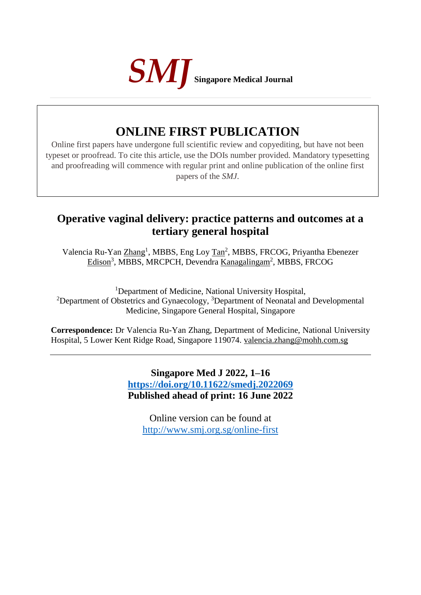

# **ONLINE FIRST PUBLICATION**

Online first papers have undergone full scientific review and copyediting, but have not been typeset or proofread. To cite this article, use the DOIs number provided. Mandatory typesetting and proofreading will commence with regular print and online publication of the online first papers of the *SMJ*.

# **Operative vaginal delivery: practice patterns and outcomes at a tertiary general hospital**

Valencia Ru-Yan Zhang<sup>1</sup>, MBBS, Eng Loy Tan<sup>2</sup>, MBBS, FRCOG, Priyantha Ebenezer Edison<sup>3</sup>, MBBS, MRCPCH, Devendra Kanagalingam<sup>2</sup>, MBBS, FRCOG

<sup>1</sup>Department of Medicine, National University Hospital, <sup>2</sup>Department of Obstetrics and Gynaecology,  $3$ Department of Neonatal and Developmental Medicine, Singapore General Hospital, Singapore

**Correspondence:** Dr Valencia Ru-Yan Zhang, Department of Medicine, National University Hospital, 5 Lower Kent Ridge Road, Singapore 119074. valencia.zhang@mohh.com.sg

> **Singapore Med J 2022, 1–16 <https://doi.org/10.11622/smedj.2022069> Published ahead of print: 16 June 2022**

Online version can be found at <http://www.smj.org.sg/online-first>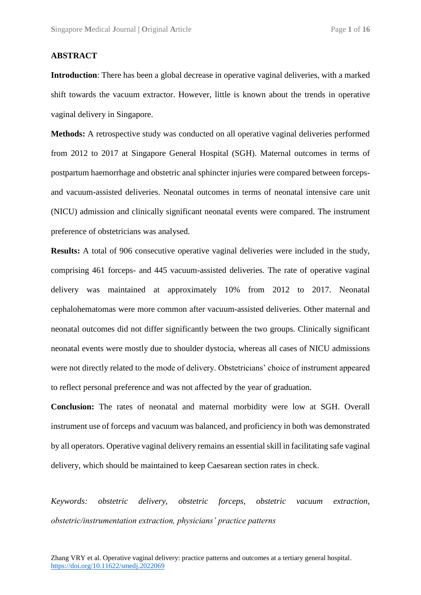## **ABSTRACT**

**Introduction**: There has been a global decrease in operative vaginal deliveries, with a marked shift towards the vacuum extractor. However, little is known about the trends in operative vaginal delivery in Singapore.

**Methods:** A retrospective study was conducted on all operative vaginal deliveries performed from 2012 to 2017 at Singapore General Hospital (SGH). Maternal outcomes in terms of postpartum haemorrhage and obstetric anal sphincter injuries were compared between forcepsand vacuum-assisted deliveries. Neonatal outcomes in terms of neonatal intensive care unit (NICU) admission and clinically significant neonatal events were compared. The instrument preference of obstetricians was analysed.

**Results:** A total of 906 consecutive operative vaginal deliveries were included in the study, comprising 461 forceps- and 445 vacuum-assisted deliveries. The rate of operative vaginal delivery was maintained at approximately 10% from 2012 to 2017. Neonatal cephalohematomas were more common after vacuum-assisted deliveries. Other maternal and neonatal outcomes did not differ significantly between the two groups. Clinically significant neonatal events were mostly due to shoulder dystocia, whereas all cases of NICU admissions were not directly related to the mode of delivery. Obstetricians' choice of instrument appeared to reflect personal preference and was not affected by the year of graduation.

**Conclusion:** The rates of neonatal and maternal morbidity were low at SGH. Overall instrument use of forceps and vacuum was balanced, and proficiency in both was demonstrated by all operators. Operative vaginal delivery remains an essential skill in facilitating safe vaginal delivery, which should be maintained to keep Caesarean section rates in check.

*Keywords: obstetric delivery, obstetric forceps, obstetric vacuum extraction, obstetric/instrumentation extraction, physicians' practice patterns*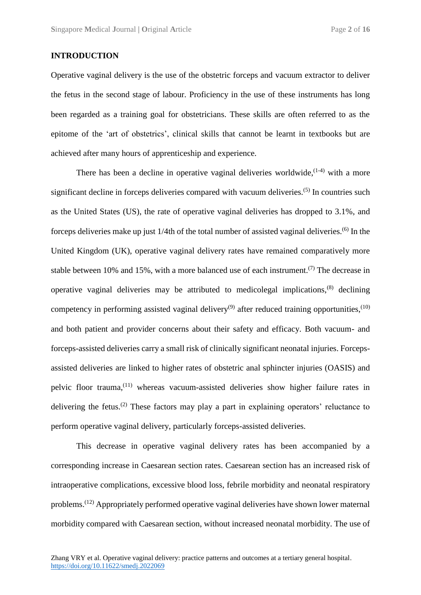# **INTRODUCTION**

Operative vaginal delivery is the use of the obstetric forceps and vacuum extractor to deliver the fetus in the second stage of labour. Proficiency in the use of these instruments has long been regarded as a training goal for obstetricians. These skills are often referred to as the epitome of the 'art of obstetrics', clinical skills that cannot be learnt in textbooks but are achieved after many hours of apprenticeship and experience.

There has been a decline in operative vaginal deliveries worldwide,  $(1-4)$  with a more significant decline in forceps deliveries compared with vacuum deliveries.<sup>(5)</sup> In countries such as the United States (US), the rate of operative vaginal deliveries has dropped to 3.1%, and forceps deliveries make up just 1/4th of the total number of assisted vaginal deliveries.(6) In the United Kingdom (UK), operative vaginal delivery rates have remained comparatively more stable between 10% and 15%, with a more balanced use of each instrument.<sup>(7)</sup> The decrease in operative vaginal deliveries may be attributed to medicolegal implications,<sup>(8)</sup> declining competency in performing assisted vaginal delivery<sup>(9)</sup> after reduced training opportunities,<sup>(10)</sup> and both patient and provider concerns about their safety and efficacy. Both vacuum- and forceps-assisted deliveries carry a small risk of clinically significant neonatal injuries. Forcepsassisted deliveries are linked to higher rates of obstetric anal sphincter injuries (OASIS) and pelvic floor trauma, (11) whereas vacuum-assisted deliveries show higher failure rates in delivering the fetus.<sup>(2)</sup> These factors may play a part in explaining operators' reluctance to perform operative vaginal delivery, particularly forceps-assisted deliveries.

This decrease in operative vaginal delivery rates has been accompanied by a corresponding increase in Caesarean section rates. Caesarean section has an increased risk of intraoperative complications, excessive blood loss, febrile morbidity and neonatal respiratory problems.(12) Appropriately performed operative vaginal deliveries have shown lower maternal morbidity compared with Caesarean section, without increased neonatal morbidity. The use of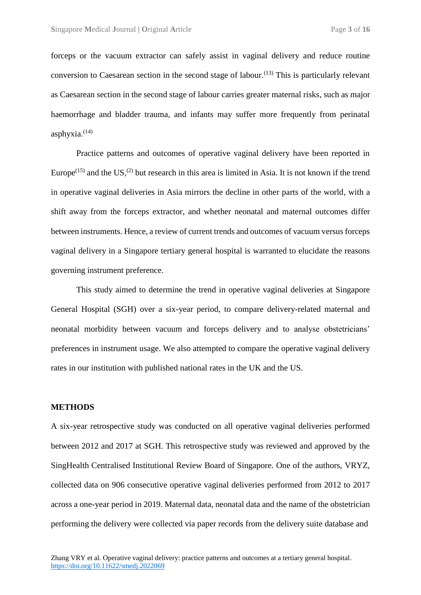forceps or the vacuum extractor can safely assist in vaginal delivery and reduce routine conversion to Caesarean section in the second stage of labour.<sup> $(13)$ </sup> This is particularly relevant as Caesarean section in the second stage of labour carries greater maternal risks, such as major haemorrhage and bladder trauma, and infants may suffer more frequently from perinatal asphyxia. $(14)$ 

Practice patterns and outcomes of operative vaginal delivery have been reported in Europe<sup>(15)</sup> and the US,<sup>(2)</sup> but research in this area is limited in Asia. It is not known if the trend in operative vaginal deliveries in Asia mirrors the decline in other parts of the world, with a shift away from the forceps extractor, and whether neonatal and maternal outcomes differ between instruments. Hence, a review of current trends and outcomes of vacuum versus forceps vaginal delivery in a Singapore tertiary general hospital is warranted to elucidate the reasons governing instrument preference.

This study aimed to determine the trend in operative vaginal deliveries at Singapore General Hospital (SGH) over a six-year period, to compare delivery-related maternal and neonatal morbidity between vacuum and forceps delivery and to analyse obstetricians' preferences in instrument usage. We also attempted to compare the operative vaginal delivery rates in our institution with published national rates in the UK and the US.

# **METHODS**

A six-year retrospective study was conducted on all operative vaginal deliveries performed between 2012 and 2017 at SGH. This retrospective study was reviewed and approved by the SingHealth Centralised Institutional Review Board of Singapore. One of the authors, VRYZ, collected data on 906 consecutive operative vaginal deliveries performed from 2012 to 2017 across a one-year period in 2019. Maternal data, neonatal data and the name of the obstetrician performing the delivery were collected via paper records from the delivery suite database and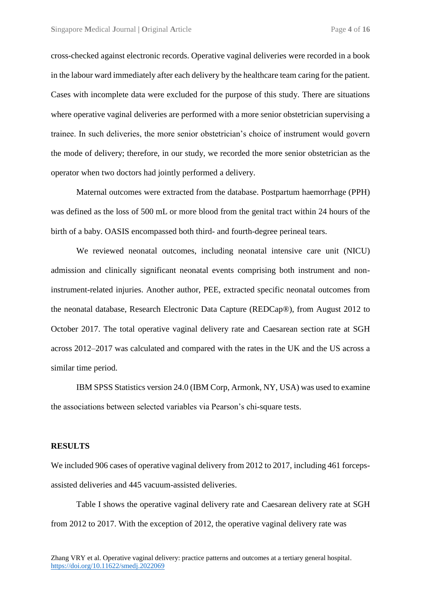cross-checked against electronic records. Operative vaginal deliveries were recorded in a book in the labour ward immediately after each delivery by the healthcare team caring for the patient. Cases with incomplete data were excluded for the purpose of this study. There are situations where operative vaginal deliveries are performed with a more senior obstetrician supervising a trainee. In such deliveries, the more senior obstetrician's choice of instrument would govern the mode of delivery; therefore, in our study, we recorded the more senior obstetrician as the operator when two doctors had jointly performed a delivery.

Maternal outcomes were extracted from the database. Postpartum haemorrhage (PPH) was defined as the loss of 500 mL or more blood from the genital tract within 24 hours of the birth of a baby. OASIS encompassed both third- and fourth-degree perineal tears.

We reviewed neonatal outcomes, including neonatal intensive care unit (NICU) admission and clinically significant neonatal events comprising both instrument and noninstrument-related injuries. Another author, PEE, extracted specific neonatal outcomes from the neonatal database, Research Electronic Data Capture (REDCap®), from August 2012 to October 2017. The total operative vaginal delivery rate and Caesarean section rate at SGH across 2012–2017 was calculated and compared with the rates in the UK and the US across a similar time period.

IBM SPSS Statistics version 24.0 (IBM Corp, Armonk, NY, USA) was used to examine the associations between selected variables via Pearson's chi-square tests.

## **RESULTS**

We included 906 cases of operative vaginal delivery from 2012 to 2017, including 461 forcepsassisted deliveries and 445 vacuum-assisted deliveries.

Table I shows the operative vaginal delivery rate and Caesarean delivery rate at SGH from 2012 to 2017. With the exception of 2012, the operative vaginal delivery rate was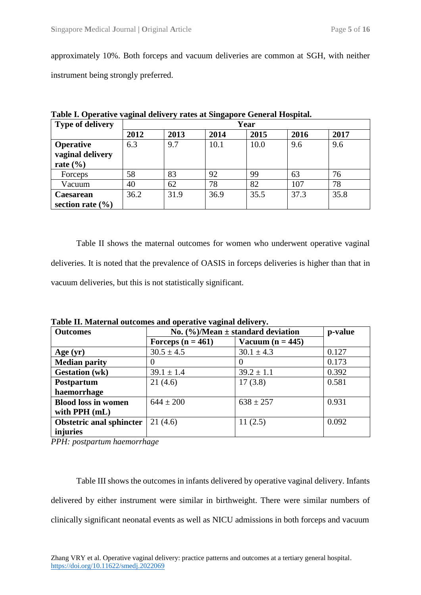approximately 10%. Both forceps and vacuum deliveries are common at SGH, with neither instrument being strongly preferred.

| <b>Type of delivery</b> | Year |      |      |      |      |      |  |
|-------------------------|------|------|------|------|------|------|--|
|                         | 2012 | 2013 | 2014 | 2015 | 2016 | 2017 |  |
| <b>Operative</b>        | 6.3  | 9.7  | 10.1 | 10.0 | 9.6  | 9.6  |  |
| vaginal delivery        |      |      |      |      |      |      |  |
| rate $(\% )$            |      |      |      |      |      |      |  |
| Forceps                 | 58   | 83   | 92   | 99   | 63   | 76   |  |
| Vacuum                  | 40   | 62   | 78   | 82   | 107  | 78   |  |
| <b>Caesarean</b>        | 36.2 | 31.9 | 36.9 | 35.5 | 37.3 | 35.8 |  |
| section rate $(\% )$    |      |      |      |      |      |      |  |

**Table I. Operative vaginal delivery rates at Singapore General Hospital.**

Table II shows the maternal outcomes for women who underwent operative vaginal deliveries. It is noted that the prevalence of OASIS in forceps deliveries is higher than that in vacuum deliveries, but this is not statistically significant.

| <b>Outcomes</b>                 |                     | No. $(\%)/Mean \pm standard deviation$ | p-value |
|---------------------------------|---------------------|----------------------------------------|---------|
|                                 | Forceps $(n = 461)$ | Vacuum $(n = 445)$                     |         |
| Age $(yr)$                      | $30.5 \pm 4.5$      | $30.1 \pm 4.3$                         | 0.127   |
| <b>Median parity</b>            |                     | 0                                      | 0.173   |
| <b>Gestation</b> (wk)           | $39.1 \pm 1.4$      | $39.2 \pm 1.1$                         | 0.392   |
| Postpartum                      | 21(4.6)             | 17(3.8)                                | 0.581   |
| haemorrhage                     |                     |                                        |         |
| <b>Blood loss in women</b>      | $644 \pm 200$       | $638 \pm 257$                          | 0.931   |
| with $PPH$ (mL)                 |                     |                                        |         |
| <b>Obstetric anal sphincter</b> | 21(4.6)             | 11(2.5)                                | 0.092   |
| injuries                        |                     |                                        |         |

**Table II. Maternal outcomes and operative vaginal delivery.**

*PPH: postpartum haemorrhage*

Table III shows the outcomes in infants delivered by operative vaginal delivery. Infants delivered by either instrument were similar in birthweight. There were similar numbers of clinically significant neonatal events as well as NICU admissions in both forceps and vacuum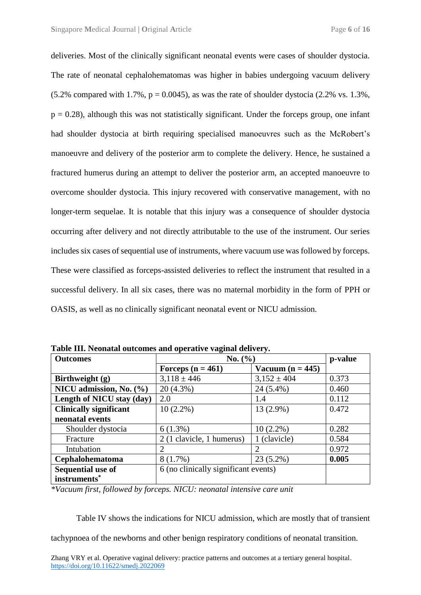deliveries. Most of the clinically significant neonatal events were cases of shoulder dystocia. The rate of neonatal cephalohematomas was higher in babies undergoing vacuum delivery  $(5.2\%$  compared with 1.7%,  $p = 0.0045$ ), as was the rate of shoulder dystocia (2.2% vs. 1.3%,  $p = 0.28$ ), although this was not statistically significant. Under the forceps group, one infant had shoulder dystocia at birth requiring specialised manoeuvres such as the McRobert's manoeuvre and delivery of the posterior arm to complete the delivery. Hence, he sustained a fractured humerus during an attempt to deliver the posterior arm, an accepted manoeuvre to overcome shoulder dystocia. This injury recovered with conservative management, with no longer-term sequelae. It is notable that this injury was a consequence of shoulder dystocia occurring after delivery and not directly attributable to the use of the instrument. Our series includes six cases of sequential use of instruments, where vacuum use was followed by forceps. These were classified as forceps-assisted deliveries to reflect the instrument that resulted in a successful delivery. In all six cases, there was no maternal morbidity in the form of PPH or OASIS, as well as no clinically significant neonatal event or NICU admission.

| <b>Outcomes</b>               | No. (%)                              | p-value             |       |
|-------------------------------|--------------------------------------|---------------------|-------|
|                               | Forceps $(n = 461)$                  | Vacuum (n = $445$ ) |       |
| Birthweight (g)               | $3,118 \pm 446$                      | $3,152 \pm 404$     | 0.373 |
| NICU admission, No. (%)       | $20(4.3\%)$                          | 24 (5.4%)           | 0.460 |
| Length of NICU stay (day)     | 2.0                                  | 1.4                 | 0.112 |
| <b>Clinically significant</b> | $10(2.2\%)$                          | 13 (2.9%)           | 0.472 |
| neonatal events               |                                      |                     |       |
| Shoulder dystocia             | $6(1.3\%)$                           | $10(2.2\%)$         | 0.282 |
| Fracture                      | 2 (1 clavicle, 1 humerus)            | 1 (clavicle)        | 0.584 |
| Intubation                    |                                      | 2                   | 0.972 |
| <b>Cephalohematoma</b>        | 8(1.7%)                              | 23 (5.2%)           | 0.005 |
| Sequential use of             | 6 (no clinically significant events) |                     |       |
| instruments*                  |                                      |                     |       |

**Table III. Neonatal outcomes and operative vaginal delivery.**

*\*Vacuum first, followed by forceps. NICU: neonatal intensive care unit*

Table IV shows the indications for NICU admission, which are mostly that of transient

tachypnoea of the newborns and other benign respiratory conditions of neonatal transition.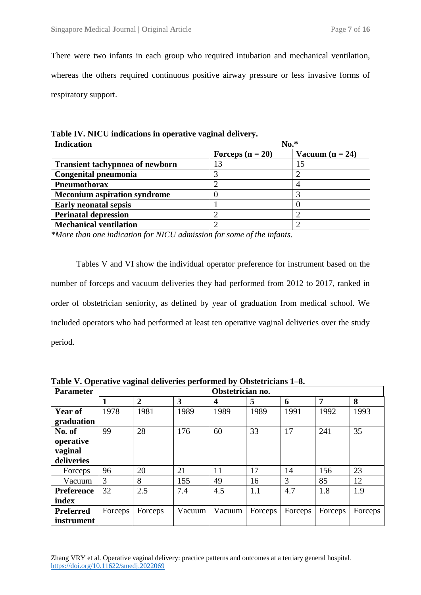There were two infants in each group who required intubation and mechanical ventilation, whereas the others required continuous positive airway pressure or less invasive forms of respiratory support.

|                                        | -                  |                   |  |
|----------------------------------------|--------------------|-------------------|--|
| <b>Indication</b>                      | $No.*$             |                   |  |
|                                        | Forceps $(n = 20)$ | Vacuum $(n = 24)$ |  |
| <b>Transient tachypnoea of newborn</b> | 13                 |                   |  |
| Congenital pneumonia                   |                    |                   |  |
| <b>Pneumothorax</b>                    |                    |                   |  |
| <b>Meconium aspiration syndrome</b>    |                    |                   |  |
| <b>Early neonatal sepsis</b>           |                    |                   |  |
| <b>Perinatal depression</b>            |                    |                   |  |
| <b>Mechanical ventilation</b>          |                    |                   |  |

**Table IV. NICU indications in operative vaginal delivery.**

*\*More than one indication for NICU admission for some of the infants.*

Tables V and VI show the individual operator preference for instrument based on the number of forceps and vacuum deliveries they had performed from 2012 to 2017, ranked in order of obstetrician seniority, as defined by year of graduation from medical school. We included operators who had performed at least ten operative vaginal deliveries over the study period.

| <b>Parameter</b>  | Obstetrician no. |                |        |        |         |         |                |         |
|-------------------|------------------|----------------|--------|--------|---------|---------|----------------|---------|
|                   |                  | $\overline{2}$ | 3      | 4      | 5       | 6       | $\overline{7}$ | 8       |
| <b>Year of</b>    | 1978             | 1981           | 1989   | 1989   | 1989    | 1991    | 1992           | 1993    |
| graduation        |                  |                |        |        |         |         |                |         |
| No. of            | 99               | 28             | 176    | 60     | 33      | 17      | 241            | 35      |
| operative         |                  |                |        |        |         |         |                |         |
| vaginal           |                  |                |        |        |         |         |                |         |
| deliveries        |                  |                |        |        |         |         |                |         |
| Forceps           | 96               | 20             | 21     | 11     | 17      | 14      | 156            | 23      |
| Vacuum            | 3                | 8              | 155    | 49     | 16      | 3       | 85             | 12      |
| <b>Preference</b> | 32               | 2.5            | 7.4    | 4.5    | 1.1     | 4.7     | 1.8            | 1.9     |
| index             |                  |                |        |        |         |         |                |         |
| <b>Preferred</b>  | Forceps          | Forceps        | Vacuum | Vacuum | Forceps | Forceps | Forceps        | Forceps |
| instrument        |                  |                |        |        |         |         |                |         |

**Table V. Operative vaginal deliveries performed by Obstetricians 1–8.**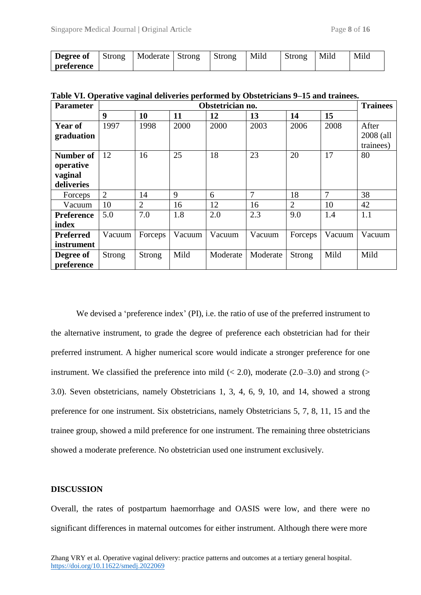| Degree of         | Strong | Moderate | Strong | Strong | Mild | Strong | Mild | Mild |
|-------------------|--------|----------|--------|--------|------|--------|------|------|
| <b>preference</b> |        |          |        |        |      |        |      |      |

| <b>Parameter</b>                                | Obstetrician no. |                |        |          |          |                |        | <b>Trainees</b>    |
|-------------------------------------------------|------------------|----------------|--------|----------|----------|----------------|--------|--------------------|
|                                                 | $\boldsymbol{9}$ | 10             | 11     | 12       | 13       | 14             | 15     |                    |
| Year of<br>graduation                           | 1997             | 1998           | 2000   | 2000     | 2003     | 2006           | 2008   | After<br>2008 (all |
| Number of<br>operative<br>vaginal<br>deliveries | 12               | 16             | 25     | 18       | 23       | 20             | 17     | trainees)<br>80    |
| Forceps                                         | $\overline{2}$   | 14             | 9      | 6        | 7        | 18             | 7      | 38                 |
| Vacuum                                          | 10               | $\overline{2}$ | 16     | 12       | 16       | $\overline{2}$ | 10     | 42                 |
| <b>Preference</b><br>index                      | 5.0              | 7.0            | 1.8    | 2.0      | 2.3      | 9.0            | 1.4    | 1.1                |
| <b>Preferred</b><br>instrument                  | Vacuum           | Forceps        | Vacuum | Vacuum   | Vacuum   | Forceps        | Vacuum | Vacuum             |
| Degree of<br>preference                         | <b>Strong</b>    | <b>Strong</b>  | Mild   | Moderate | Moderate | <b>Strong</b>  | Mild   | Mild               |

**Table VI. Operative vaginal deliveries performed by Obstetricians 9–15 and trainees.**

We devised a 'preference index' (PI), i.e. the ratio of use of the preferred instrument to the alternative instrument, to grade the degree of preference each obstetrician had for their preferred instrument. A higher numerical score would indicate a stronger preference for one instrument. We classified the preference into mild  $(< 2.0$ ), moderate  $(2.0-3.0)$  and strong  $(>$ 3.0). Seven obstetricians, namely Obstetricians 1, 3, 4, 6, 9, 10, and 14, showed a strong preference for one instrument. Six obstetricians, namely Obstetricians 5, 7, 8, 11, 15 and the trainee group, showed a mild preference for one instrument. The remaining three obstetricians showed a moderate preference. No obstetrician used one instrument exclusively.

## **DISCUSSION**

Overall, the rates of postpartum haemorrhage and OASIS were low, and there were no significant differences in maternal outcomes for either instrument. Although there were more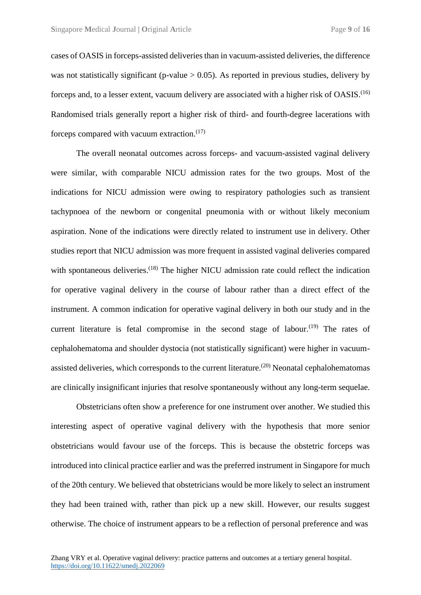cases of OASIS in forceps-assisted deliveries than in vacuum-assisted deliveries, the difference was not statistically significant (p-value  $> 0.05$ ). As reported in previous studies, delivery by forceps and, to a lesser extent, vacuum delivery are associated with a higher risk of OASIS.<sup>(16)</sup> Randomised trials generally report a higher risk of third- and fourth-degree lacerations with forceps compared with vacuum extraction. $(17)$ 

The overall neonatal outcomes across forceps- and vacuum-assisted vaginal delivery were similar, with comparable NICU admission rates for the two groups. Most of the indications for NICU admission were owing to respiratory pathologies such as transient tachypnoea of the newborn or congenital pneumonia with or without likely meconium aspiration. None of the indications were directly related to instrument use in delivery. Other studies report that NICU admission was more frequent in assisted vaginal deliveries compared with spontaneous deliveries.<sup>(18)</sup> The higher NICU admission rate could reflect the indication for operative vaginal delivery in the course of labour rather than a direct effect of the instrument. A common indication for operative vaginal delivery in both our study and in the current literature is fetal compromise in the second stage of labour.<sup> $(19)$ </sup> The rates of cephalohematoma and shoulder dystocia (not statistically significant) were higher in vacuumassisted deliveries, which corresponds to the current literature.<sup> $(20)$ </sup> Neonatal cephalohematomas are clinically insignificant injuries that resolve spontaneously without any long-term sequelae.

Obstetricians often show a preference for one instrument over another. We studied this interesting aspect of operative vaginal delivery with the hypothesis that more senior obstetricians would favour use of the forceps. This is because the obstetric forceps was introduced into clinical practice earlier and was the preferred instrument in Singapore for much of the 20th century. We believed that obstetricians would be more likely to select an instrument they had been trained with, rather than pick up a new skill. However, our results suggest otherwise. The choice of instrument appears to be a reflection of personal preference and was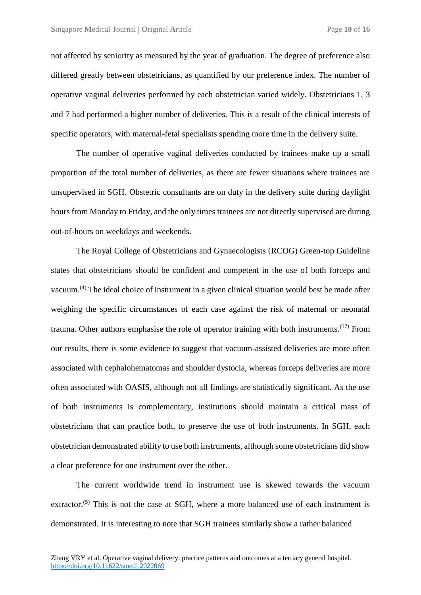not affected by seniority as measured by the year of graduation. The degree of preference also differed greatly between obstetricians, as quantified by our preference index. The number of operative vaginal deliveries performed by each obstetrician varied widely. Obstetricians 1, 3 and 7 had performed a higher number of deliveries. This is a result of the clinical interests of specific operators, with maternal-fetal specialists spending more time in the delivery suite.

The number of operative vaginal deliveries conducted by trainees make up a small proportion of the total number of deliveries, as there are fewer situations where trainees are unsupervised in SGH. Obstetric consultants are on duty in the delivery suite during daylight hours from Monday to Friday, and the only times trainees are not directly supervised are during out-of-hours on weekdays and weekends.

The Royal College of Obstetricians and Gynaecologists (RCOG) Green-top Guideline states that obstetricians should be confident and competent in the use of both forceps and vacuum.(4) The ideal choice of instrument in a given clinical situation would best be made after weighing the specific circumstances of each case against the risk of maternal or neonatal trauma. Other authors emphasise the role of operator training with both instruments.<sup> $(17)$ </sup> From our results, there is some evidence to suggest that vacuum-assisted deliveries are more often associated with cephalohematomas and shoulder dystocia, whereas forceps deliveries are more often associated with OASIS, although not all findings are statistically significant. As the use of both instruments is complementary, institutions should maintain a critical mass of obstetricians that can practice both, to preserve the use of both instruments. In SGH, each obstetrician demonstrated ability to use both instruments, although some obstetricians did show a clear preference for one instrument over the other.

The current worldwide trend in instrument use is skewed towards the vacuum extractor.<sup>(5)</sup> This is not the case at SGH, where a more balanced use of each instrument is demonstrated. It is interesting to note that SGH trainees similarly show a rather balanced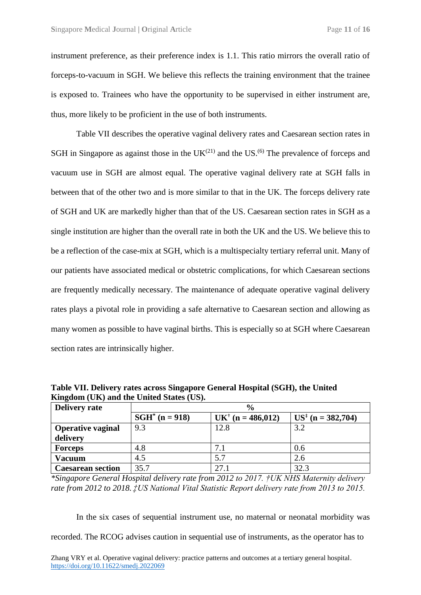instrument preference, as their preference index is 1.1. This ratio mirrors the overall ratio of forceps-to-vacuum in SGH. We believe this reflects the training environment that the trainee is exposed to. Trainees who have the opportunity to be supervised in either instrument are, thus, more likely to be proficient in the use of both instruments.

Table VII describes the operative vaginal delivery rates and Caesarean section rates in SGH in Singapore as against those in the  $UK^{(21)}$  and the US.<sup>(6)</sup> The prevalence of forceps and vacuum use in SGH are almost equal. The operative vaginal delivery rate at SGH falls in between that of the other two and is more similar to that in the UK. The forceps delivery rate of SGH and UK are markedly higher than that of the US. Caesarean section rates in SGH as a single institution are higher than the overall rate in both the UK and the US. We believe this to be a reflection of the case-mix at SGH, which is a multispecialty tertiary referral unit. Many of our patients have associated medical or obstetric complications, for which Caesarean sections are frequently medically necessary. The maintenance of adequate operative vaginal delivery rates plays a pivotal role in providing a safe alternative to Caesarean section and allowing as many women as possible to have vaginal births. This is especially so at SGH where Caesarean section rates are intrinsically higher.

| Delivery rate            | $\frac{6}{9}$            |                     |                               |  |  |  |  |  |
|--------------------------|--------------------------|---------------------|-------------------------------|--|--|--|--|--|
|                          | $\text{SGH}^*$ (n = 918) | $UK+$ (n = 486,012) | $US^{\ddagger}$ (n = 382,704) |  |  |  |  |  |
| <b>Operative vaginal</b> | 9.3                      | 12.8                | 3.2                           |  |  |  |  |  |
| delivery                 |                          |                     |                               |  |  |  |  |  |
| <b>Forceps</b>           | 4.8                      | 7.1                 | 0.6                           |  |  |  |  |  |
| <b>Vacuum</b>            | 4.5                      | 5.7                 | 2.6                           |  |  |  |  |  |
| <b>Caesarean section</b> | 35.7                     | 27.1                | 32.3                          |  |  |  |  |  |

**Table VII. Delivery rates across Singapore General Hospital (SGH), the United Kingdom (UK) and the United States (US).**

*\*Singapore General Hospital delivery rate from 2012 to 2017. †UK NHS Maternity delivery rate from 2012 to 2018. ‡US National Vital Statistic Report delivery rate from 2013 to 2015.*

In the six cases of sequential instrument use, no maternal or neonatal morbidity was recorded. The RCOG advises caution in sequential use of instruments, as the operator has to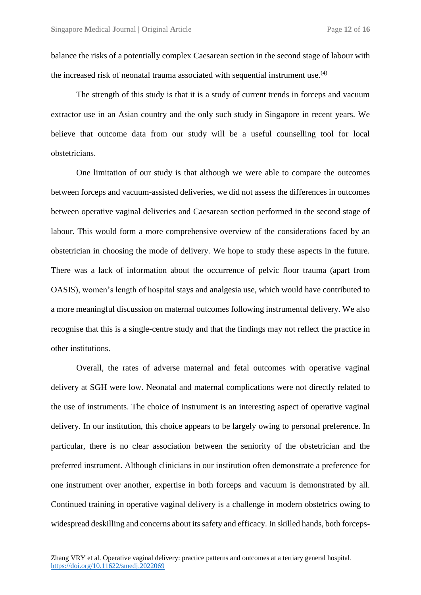balance the risks of a potentially complex Caesarean section in the second stage of labour with the increased risk of neonatal trauma associated with sequential instrument use.<sup> $(4)$ </sup>

The strength of this study is that it is a study of current trends in forceps and vacuum extractor use in an Asian country and the only such study in Singapore in recent years. We believe that outcome data from our study will be a useful counselling tool for local obstetricians.

One limitation of our study is that although we were able to compare the outcomes between forceps and vacuum-assisted deliveries, we did not assess the differences in outcomes between operative vaginal deliveries and Caesarean section performed in the second stage of labour. This would form a more comprehensive overview of the considerations faced by an obstetrician in choosing the mode of delivery. We hope to study these aspects in the future. There was a lack of information about the occurrence of pelvic floor trauma (apart from OASIS), women's length of hospital stays and analgesia use, which would have contributed to a more meaningful discussion on maternal outcomes following instrumental delivery. We also recognise that this is a single-centre study and that the findings may not reflect the practice in other institutions.

Overall, the rates of adverse maternal and fetal outcomes with operative vaginal delivery at SGH were low. Neonatal and maternal complications were not directly related to the use of instruments. The choice of instrument is an interesting aspect of operative vaginal delivery. In our institution, this choice appears to be largely owing to personal preference. In particular, there is no clear association between the seniority of the obstetrician and the preferred instrument. Although clinicians in our institution often demonstrate a preference for one instrument over another, expertise in both forceps and vacuum is demonstrated by all. Continued training in operative vaginal delivery is a challenge in modern obstetrics owing to widespread deskilling and concerns about its safety and efficacy. In skilled hands, both forceps-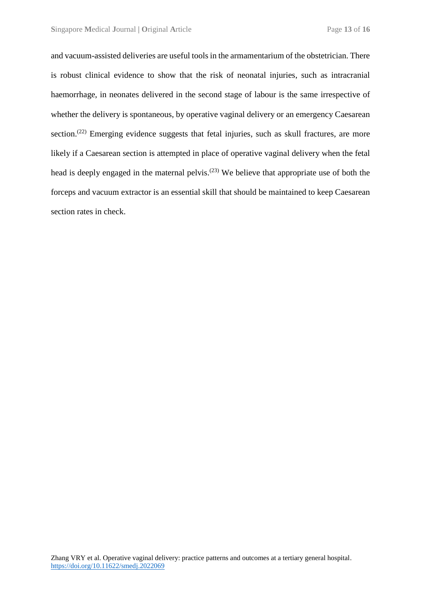and vacuum-assisted deliveries are useful tools in the armamentarium of the obstetrician. There is robust clinical evidence to show that the risk of neonatal injuries, such as intracranial haemorrhage, in neonates delivered in the second stage of labour is the same irrespective of whether the delivery is spontaneous, by operative vaginal delivery or an emergency Caesarean section.<sup>(22)</sup> Emerging evidence suggests that fetal injuries, such as skull fractures, are more likely if a Caesarean section is attempted in place of operative vaginal delivery when the fetal head is deeply engaged in the maternal pelvis.<sup>(23)</sup> We believe that appropriate use of both the forceps and vacuum extractor is an essential skill that should be maintained to keep Caesarean section rates in check.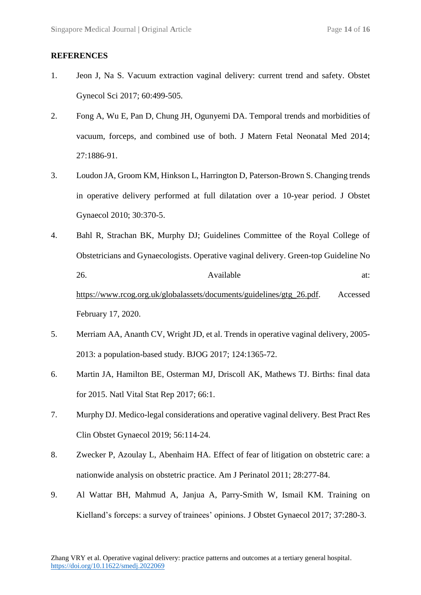#### **REFERENCES**

- 1. Jeon J, Na S. Vacuum extraction vaginal delivery: current trend and safety. Obstet Gynecol Sci 2017; 60:499-505.
- 2. Fong A, Wu E, Pan D, Chung JH, Ogunyemi DA. Temporal trends and morbidities of vacuum, forceps, and combined use of both. J Matern Fetal Neonatal Med 2014; 27:1886-91.
- 3. Loudon JA, Groom KM, Hinkson L, Harrington D, Paterson-Brown S. Changing trends in operative delivery performed at full dilatation over a 10-year period. J Obstet Gynaecol 2010; 30:370-5.
- 4. Bahl R, Strachan BK, Murphy DJ; Guidelines Committee of the Royal College of Obstetricians and Gynaecologists. Operative vaginal delivery. Green-top Guideline No 26. Available at: [https://www.rcog.org.uk/globalassets/documents/guidelines/gtg\\_26.pdf.](https://www.rcog.org.uk/globalassets/documents/guidelines/gtg_26.pdf) Accessed February 17, 2020.
- 5. Merriam AA, Ananth CV, Wright JD, et al. Trends in operative vaginal delivery, 2005- 2013: a population-based study. BJOG 2017; 124:1365-72.
- 6. Martin JA, Hamilton BE, Osterman MJ, Driscoll AK, Mathews TJ. Births: final data for 2015. Natl Vital Stat Rep 2017; 66:1.
- 7. Murphy DJ. Medico-legal considerations and operative vaginal delivery. Best Pract Res Clin Obstet Gynaecol 2019; 56:114-24.
- 8. Zwecker P, Azoulay L, Abenhaim HA. Effect of fear of litigation on obstetric care: a nationwide analysis on obstetric practice. Am J Perinatol 2011; 28:277-84.
- 9. Al Wattar BH, Mahmud A, Janjua A, Parry-Smith W, Ismail KM. Training on Kielland's forceps: a survey of trainees' opinions. J Obstet Gynaecol 2017; 37:280-3.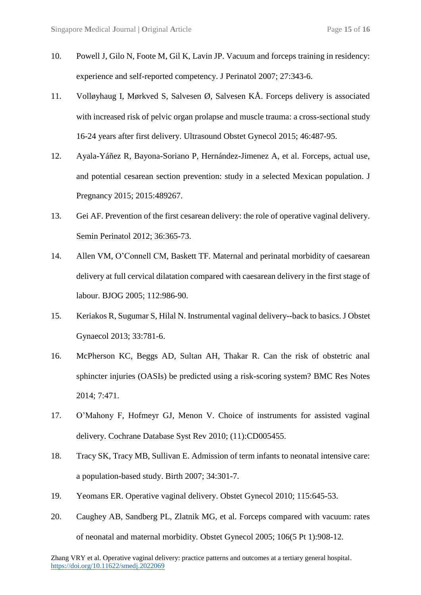- 10. Powell J, Gilo N, Foote M, Gil K, Lavin JP. Vacuum and forceps training in residency: experience and self-reported competency. J Perinatol 2007; 27:343-6.
- 11. Volløyhaug I, Mørkved S, Salvesen Ø, Salvesen KÅ. Forceps delivery is associated with increased risk of pelvic organ prolapse and muscle trauma: a cross-sectional study 16-24 years after first delivery. Ultrasound Obstet Gynecol 2015; 46:487-95.
- 12. Ayala-Yáñez R, Bayona-Soriano P, Hernández-Jimenez A, et al. Forceps, actual use, and potential cesarean section prevention: study in a selected Mexican population. J Pregnancy 2015; 2015[:489267.](http://www.ncbi.nlm.nih.gov/pubmed/489267)
- 13. Gei AF. Prevention of the first cesarean delivery: the role of operative vaginal delivery. Semin Perinatol 2012; 36:365-73.
- 14. Allen VM, O'Connell CM, Baskett TF. Maternal and perinatal morbidity of caesarean delivery at full cervical dilatation compared with caesarean delivery in the first stage of labour. BJOG 2005; 112:986-90.
- 15. Keriakos R, Sugumar S, Hilal N. Instrumental vaginal delivery--back to basics. J Obstet Gynaecol 2013; 33:781-6.
- 16. McPherson KC, Beggs AD, Sultan AH, Thakar R. Can the risk of obstetric anal sphincter injuries (OASIs) be predicted using a risk-scoring system? BMC Res Notes 2014; 7:471.
- 17. O'Mahony F, Hofmeyr GJ, Menon V. Choice of instruments for assisted vaginal delivery. Cochrane Database Syst Rev 2010; (11):CD005455.
- 18. Tracy SK, Tracy MB, Sullivan E. Admission of term infants to neonatal intensive care: a population-based study. Birth 2007; 34:301-7.
- 19. Yeomans ER. Operative vaginal delivery. Obstet Gynecol 2010; 115:645-53.
- 20. Caughey AB, Sandberg PL, Zlatnik MG, et al. Forceps compared with vacuum: rates of neonatal and maternal morbidity. Obstet Gynecol 2005; 106(5 Pt 1):908-12.